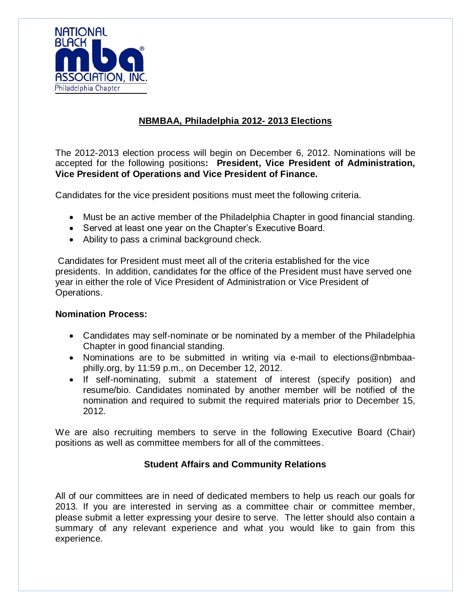

# **NBMBAA, Philadelphia 2012- 2013 Elections**

The 2012-2013 election process will begin on December 6, 2012. Nominations will be accepted for the following positions**: President, Vice President of Administration, Vice President of Operations and Vice President of Finance.**

Candidates for the vice president positions must meet the following criteria.

- Must be an active member of the Philadelphia Chapter in good financial standing.
- Served at least one year on the Chapter's Executive Board.
- Ability to pass a criminal background check.

Candidates for President must meet all of the criteria established for the vice presidents. In addition, candidates for the office of the President must have served one year in either the role of Vice President of Administration or Vice President of Operations.

## **Nomination Process:**

- Candidates may self-nominate or be nominated by a member of the Philadelphia Chapter in good financial standing.
- Nominations are to be submitted in writing via e-mail to elections@nbmbaaphilly.org, by 11:59 p.m., on December 12, 2012.
- If self-nominating, submit a statement of interest (specify position) and resume/bio. Candidates nominated by another member will be notified of the nomination and required to submit the required materials prior to December 15, 2012.

We are also recruiting members to serve in the following Executive Board (Chair) positions as well as committee members for all of the committees.

## **Student Affairs and Community Relations**

All of our committees are in need of dedicated members to help us reach our goals for 2013. If you are interested in serving as a committee chair or committee member, please submit a letter expressing your desire to serve. The letter should also contain a summary of any relevant experience and what you would like to gain from this experience.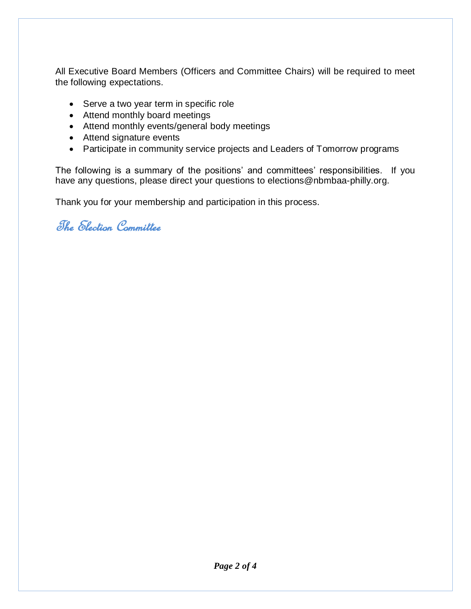All Executive Board Members (Officers and Committee Chairs) will be required to meet the following expectations.

- Serve a two year term in specific role
- Attend monthly board meetings
- Attend monthly events/general body meetings
- Attend signature events
- Participate in community service projects and Leaders of Tomorrow programs

The following is a summary of the positions' and committees' responsibilities. If you have any questions, please direct your questions to elections@nbmbaa-philly.org.

Thank you for your membership and participation in this process.

The Election Committee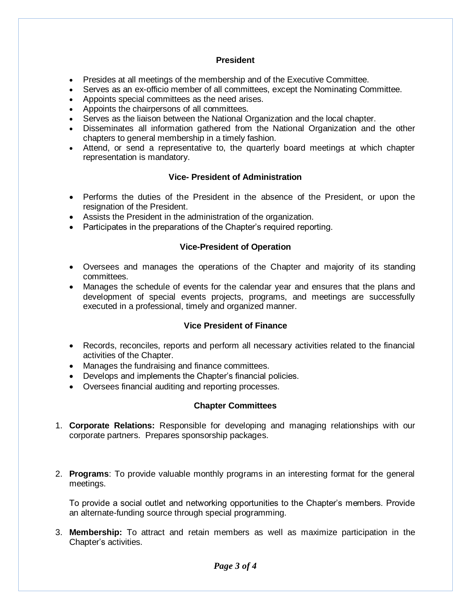### **President**

- Presides at all meetings of the membership and of the Executive Committee.
- Serves as an ex-officio member of all committees, except the Nominating Committee.
- Appoints special committees as the need arises.
- Appoints the chairpersons of all committees.
- Serves as the liaison between the National Organization and the local chapter.
- Disseminates all information gathered from the National Organization and the other chapters to general membership in a timely fashion.
- Attend, or send a representative to, the quarterly board meetings at which chapter representation is mandatory.

#### **Vice- President of Administration**

- Performs the duties of the President in the absence of the President, or upon the resignation of the President.
- Assists the President in the administration of the organization.
- Participates in the preparations of the Chapter's required reporting.

#### **Vice-President of Operation**

- Oversees and manages the operations of the Chapter and majority of its standing committees.
- Manages the schedule of events for the calendar year and ensures that the plans and development of special events projects, programs, and meetings are successfully executed in a professional, timely and organized manner.

#### **Vice President of Finance**

- Records, reconciles, reports and perform all necessary activities related to the financial activities of the Chapter.
- Manages the fundraising and finance committees.
- Develops and implements the Chapter's financial policies.
- Oversees financial auditing and reporting processes.

#### **Chapter Committees**

- 1. **Corporate Relations:** Responsible for developing and managing relationships with our corporate partners. Prepares sponsorship packages.
- 2. **Programs**: To provide valuable monthly programs in an interesting format for the general meetings.

To provide a social outlet and networking opportunities to the Chapter's members. Provide an alternate-funding source through special programming.

3. **Membership:** To attract and retain members as well as maximize participation in the Chapter's activities.